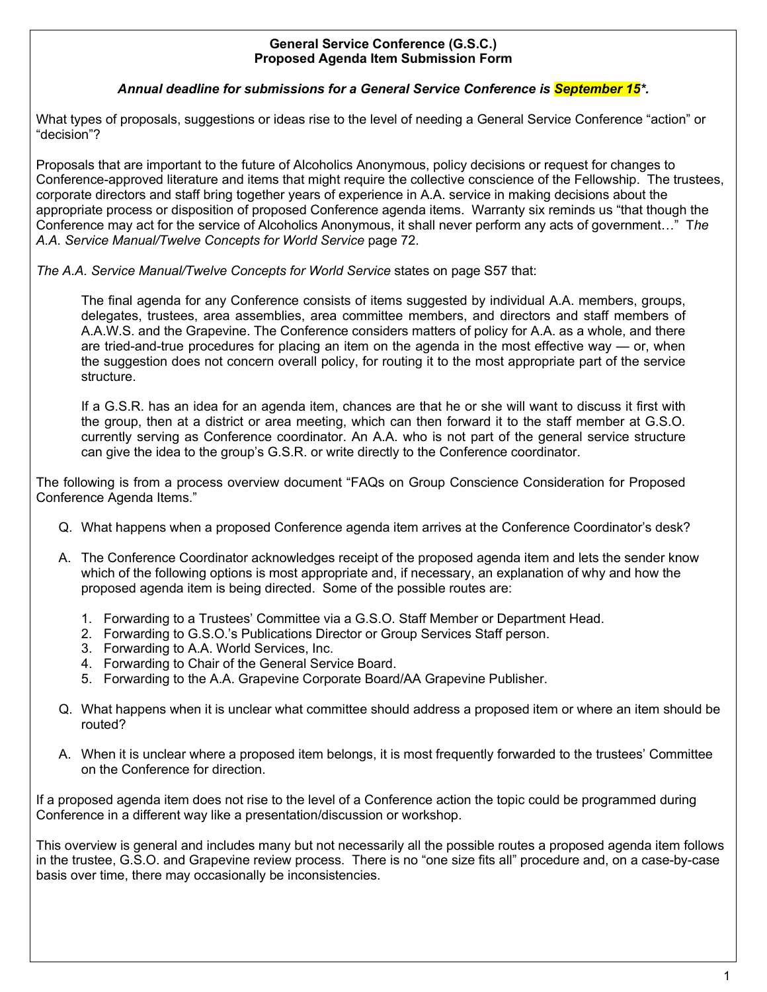## **General Service Conference (G.S.C.) Proposed Agenda Item Submission Form**

## *Annual deadline for submissions for a General Service Conference is September 15\*.*

What types of proposals, suggestions or ideas rise to the level of needing a General Service Conference "action" or "decision"?

Proposals that are important to the future of Alcoholics Anonymous, policy decisions or request for changes to Conference-approved literature and items that might require the collective conscience of the Fellowship. The trustees, corporate directors and staff bring together years of experience in A.A. service in making decisions about the appropriate process or disposition of proposed Conference agenda items. Warranty six reminds us "that though the Conference may act for the service of Alcoholics Anonymous, it shall never perform any acts of government…" T*he A.A. Service Manual/Twelve Concepts for World Service* page 72.

*The A.A. Service Manual/Twelve Concepts for World Service* states on page S57 that:

The final agenda for any Conference consists of items suggested by individual A.A. members, groups, delegates, trustees, area assemblies, area committee members, and directors and staff members of A.A.W.S. and the Grapevine. The Conference considers matters of policy for A.A. as a whole, and there are tried-and-true procedures for placing an item on the agenda in the most effective way — or, when the suggestion does not concern overall policy, for routing it to the most appropriate part of the service structure.

If a G.S.R. has an idea for an agenda item, chances are that he or she will want to discuss it first with the group, then at a district or area meeting, which can then forward it to the staff member at G.S.O. currently serving as Conference coordinator. An A.A. who is not part of the general service structure can give the idea to the group's G.S.R. or write directly to the Conference coordinator.

The following is from a process overview document "FAQs on Group Conscience Consideration for Proposed Conference Agenda Items."

- Q. What happens when a proposed Conference agenda item arrives at the Conference Coordinator's desk?
- A. The Conference Coordinator acknowledges receipt of the proposed agenda item and lets the sender know which of the following options is most appropriate and, if necessary, an explanation of why and how the proposed agenda item is being directed. Some of the possible routes are:
	- 1. Forwarding to a Trustees' Committee via a G.S.O. Staff Member or Department Head.
	- 2. Forwarding to G.S.O.'s Publications Director or Group Services Staff person.
	- 3. Forwarding to A.A. World Services, Inc.
	- 4. Forwarding to Chair of the General Service Board.
	- 5. Forwarding to the A.A. Grapevine Corporate Board/AA Grapevine Publisher.
- Q. What happens when it is unclear what committee should address a proposed item or where an item should be routed?
- A. When it is unclear where a proposed item belongs, it is most frequently forwarded to the trustees' Committee on the Conference for direction.

If a proposed agenda item does not rise to the level of a Conference action the topic could be programmed during Conference in a different way like a presentation/discussion or workshop.

This overview is general and includes many but not necessarily all the possible routes a proposed agenda item follows in the trustee, G.S.O. and Grapevine review process. There is no "one size fits all" procedure and, on a case-by-case basis over time, there may occasionally be inconsistencies.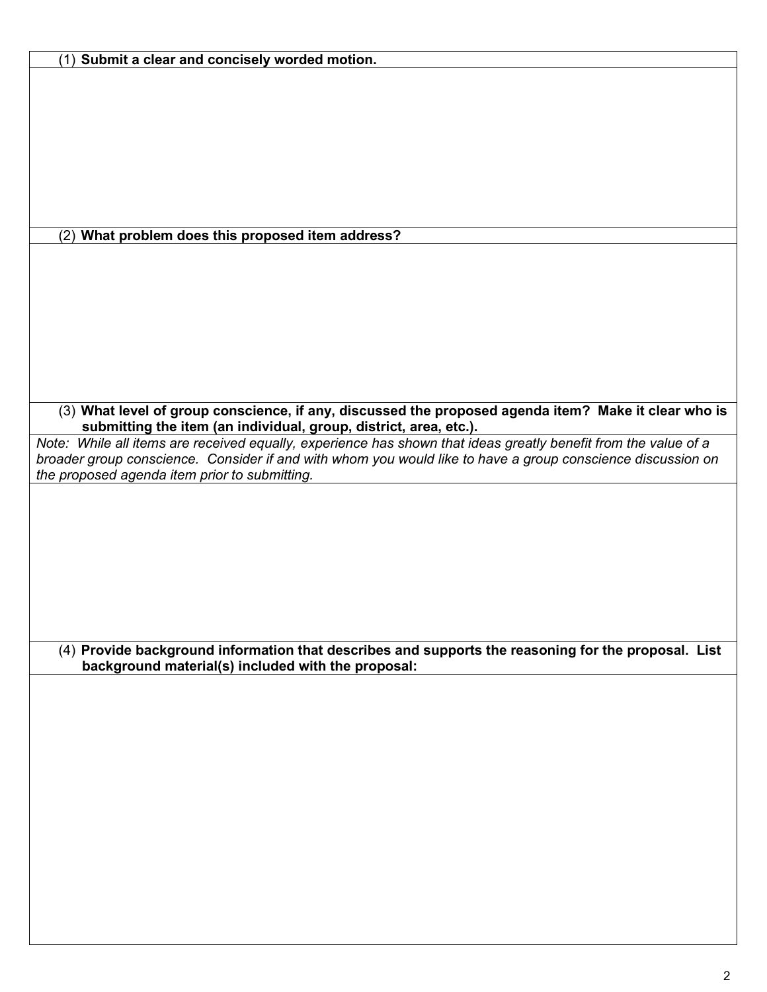|  | (1) Submit a clear and concisely worded motion. |  |  |  |  |
|--|-------------------------------------------------|--|--|--|--|
|--|-------------------------------------------------|--|--|--|--|

(2) **What problem does this proposed item address?**

(3) **What level of group conscience, if any, discussed the proposed agenda item? Make it clear who is submitting the item (an individual, group, district, area, etc.).** 

*Note: While all items are received equally, experience has shown that ideas greatly benefit from the value of a broader group conscience. Consider if and with whom you would like to have a group conscience discussion on the proposed agenda item prior to submitting.* 

(4) **Provide background information that describes and supports the reasoning for the proposal. List background material(s) included with the proposal:**